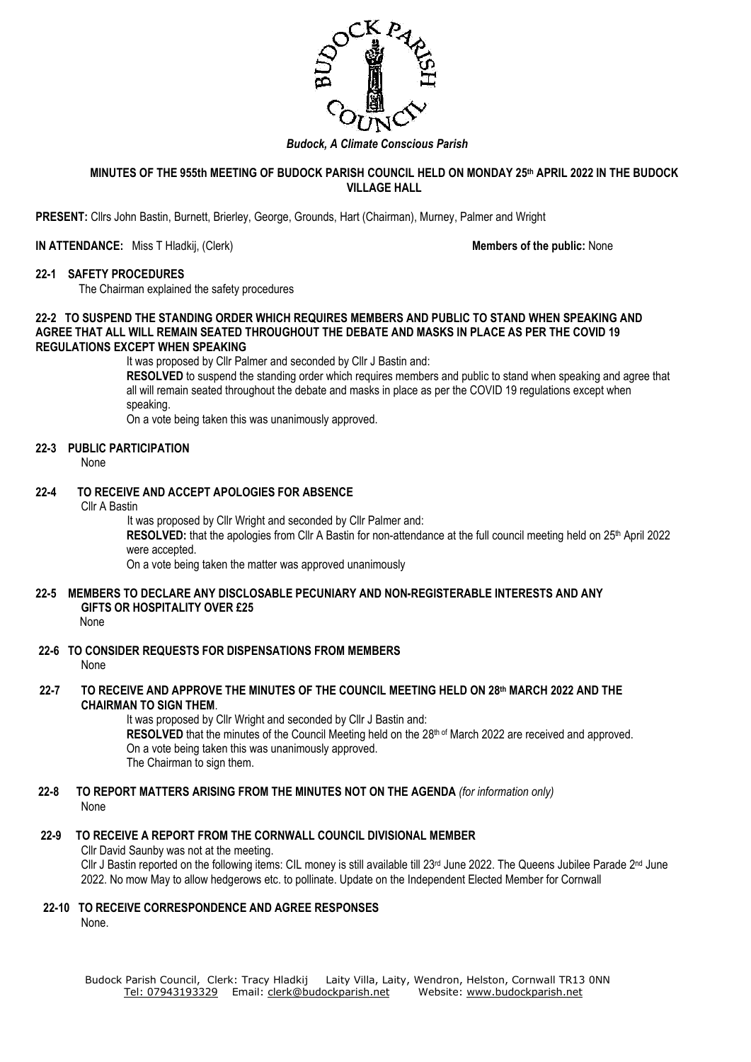

#### *Budock, A Climate Conscious Parish*

### **MINUTES OF THE 955th MEETING OF BUDOCK PARISH COUNCIL HELD ON MONDAY 25th APRIL 2022 IN THE BUDOCK VILLAGE HALL**

**PRESENT:** Cllrs John Bastin, Burnett, Brierley, George, Grounds, Hart (Chairman), Murney, Palmer and Wright

#### **IN ATTENDANCE:** Miss T Hladkij, (Clerk) **Members of the public:** None

#### **22-1 SAFETY PROCEDURES**

The Chairman explained the safety procedures

### **22-2 TO SUSPEND THE STANDING ORDER WHICH REQUIRES MEMBERS AND PUBLIC TO STAND WHEN SPEAKING AND AGREE THAT ALL WILL REMAIN SEATED THROUGHOUT THE DEBATE AND MASKS IN PLACE AS PER THE COVID 19 REGULATIONS EXCEPT WHEN SPEAKING**

It was proposed by Cllr Palmer and seconded by Cllr J Bastin and:

**RESOLVED** to suspend the standing order which requires members and public to stand when speaking and agree that all will remain seated throughout the debate and masks in place as per the COVID 19 regulations except when speaking.

On a vote being taken this was unanimously approved.

## **22-3 PUBLIC PARTICIPATION**

None

# **22-4 TO RECEIVE AND ACCEPT APOLOGIES FOR ABSENCE**

#### Cllr A Bastin

It was proposed by Cllr Wright and seconded by Cllr Palmer and:

RESOLVED: that the apologies from Cllr A Bastin for non-attendance at the full council meeting held on 25<sup>th</sup> April 2022 were accepted.

On a vote being taken the matter was approved unanimously

# **22-5 MEMBERS TO DECLARE ANY DISCLOSABLE PECUNIARY AND NON-REGISTERABLE INTERESTS AND ANY GIFTS OR HOSPITALITY OVER £25**

None

- **22-6 TO CONSIDER REQUESTS FOR DISPENSATIONS FROM MEMBERS** None
- **22-7 TO RECEIVE AND APPROVE THE MINUTES OF THE COUNCIL MEETING HELD ON 28th MARCH 2022 AND THE CHAIRMAN TO SIGN THEM**.

It was proposed by Cllr Wright and seconded by Cllr J Bastin and: RESOLVED that the minutes of the Council Meeting held on the 28<sup>th of</sup> March 2022 are received and approved. On a vote being taken this was unanimously approved. The Chairman to sign them.

**22-8 TO REPORT MATTERS ARISING FROM THE MINUTES NOT ON THE AGENDA** *(for information only)* None

### **22-9 TO RECEIVE A REPORT FROM THE CORNWALL COUNCIL DIVISIONAL MEMBER**

Cllr David Saunby was not at the meeting.

Cllr J Bastin reported on the following items: CIL money is still available till 23<sup>rd</sup> June 2022. The Queens Jubilee Parade 2<sup>nd</sup> June 2022. No mow May to allow hedgerows etc. to pollinate. Update on the Independent Elected Member for Cornwall

### **22-10 TO RECEIVE CORRESPONDENCE AND AGREE RESPONSES**

None.

Budock Parish Council, Clerk: Tracy Hladkij Laity Villa, Laity, Wendron, Helston, Cornwall TR13 0NN Tel: [07943193329](mailto:Tel:%2007943193329) Email: [clerk@budockparish.net](mailto:clerk@budockparish.net) Website: [www.budockparish.net](http://www.budockparish.net/)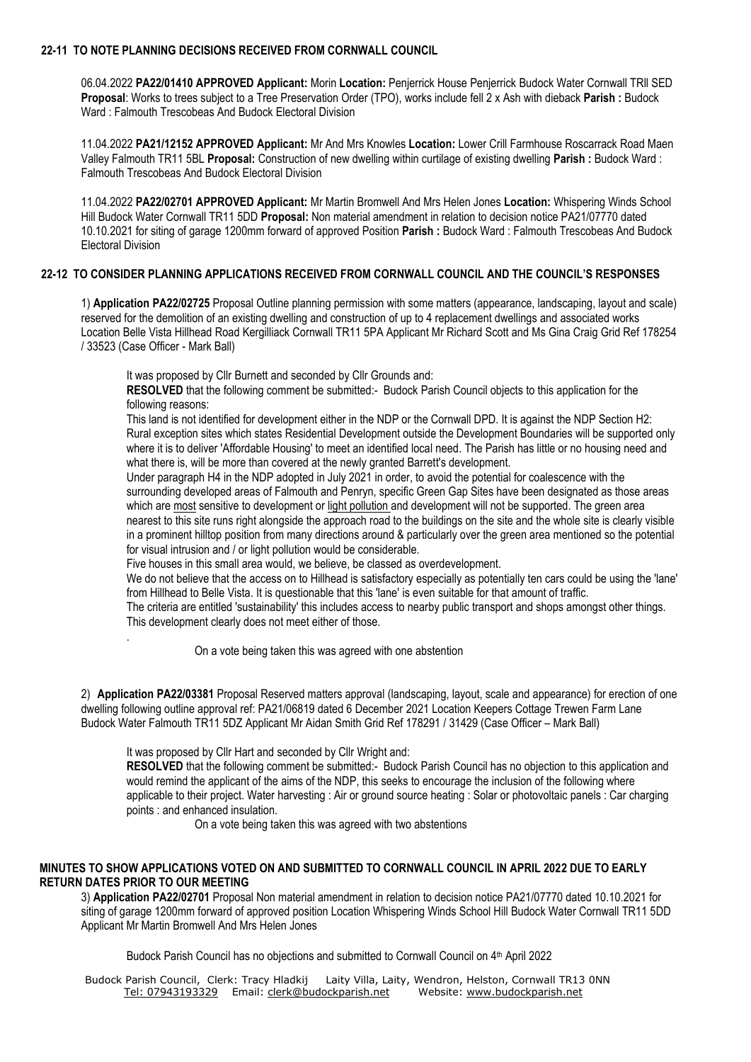## **22-11 TO NOTE PLANNING DECISIONS RECEIVED FROM CORNWALL COUNCIL**

06.04.2022 **PA22/01410 APPROVED Applicant:** Morin **Location:** Penjerrick House Penjerrick Budock Water Cornwall TRll SED **Proposal**: Works to trees subject to a Tree Preservation Order (TPO), works include fell 2 x Ash with dieback **Parish :** Budock Ward : Falmouth Trescobeas And Budock Electoral Division

11.04.2022 **PA21/12152 APPROVED Applicant:** Mr And Mrs Knowles **Location:** Lower Crill Farmhouse Roscarrack Road Maen Valley Falmouth TR11 5BL **Proposal:** Construction of new dwelling within curtilage of existing dwelling **Parish :** Budock Ward : Falmouth Trescobeas And Budock Electoral Division

11.04.2022 **PA22/02701 APPROVED Applicant:** Mr Martin Bromwell And Mrs Helen Jones **Location:** Whispering Winds School Hill Budock Water Cornwall TR11 5DD **Proposal:** Non material amendment in relation to decision notice PA21/07770 dated 10.10.2021 for siting of garage 1200mm forward of approved Position **Parish :** Budock Ward : Falmouth Trescobeas And Budock Electoral Division

## **22-12 TO CONSIDER PLANNING APPLICATIONS RECEIVED FROM CORNWALL COUNCIL AND THE COUNCIL'S RESPONSES**

1) **Application PA22/02725** Proposal Outline planning permission with some matters (appearance, landscaping, layout and scale) reserved for the demolition of an existing dwelling and construction of up to 4 replacement dwellings and associated works Location Belle Vista Hillhead Road Kergilliack Cornwall TR11 5PA Applicant Mr Richard Scott and Ms Gina Craig Grid Ref 178254 / 33523 (Case Officer - Mark Ball)

It was proposed by Cllr Burnett and seconded by Cllr Grounds and:

**RESOLVED** that the following comment be submitted:- Budock Parish Council objects to this application for the following reasons:

This land is not identified for development either in the NDP or the Cornwall DPD. It is against the NDP Section H2: Rural exception sites which states Residential Development outside the Development Boundaries will be supported only where it is to deliver 'Affordable Housing' to meet an identified local need. The Parish has little or no housing need and what there is, will be more than covered at the newly granted Barrett's development.

Under paragraph H4 in the NDP adopted in July 2021 in order, to avoid the potential for coalescence with the surrounding developed areas of Falmouth and Penryn, specific Green Gap Sites have been designated as those areas which are most sensitive to development or light pollution and development will not be supported. The green area nearest to this site runs right alongside the approach road to the buildings on the site and the whole site is clearly visible in a prominent hilltop position from many directions around & particularly over the green area mentioned so the potential for visual intrusion and / or light pollution would be considerable.

Five houses in this small area would, we believe, be classed as overdevelopment.

We do not believe that the access on to Hillhead is satisfactory especially as potentially ten cars could be using the 'lane' from Hillhead to Belle Vista. It is questionable that this 'lane' is even suitable for that amount of traffic.

The criteria are entitled 'sustainability' this includes access to nearby public transport and shops amongst other things. This development clearly does not meet either of those.

On a vote being taken this was agreed with one abstention

2) **Application PA22/03381** Proposal Reserved matters approval (landscaping, layout, scale and appearance) for erection of one dwelling following outline approval ref: PA21/06819 dated 6 December 2021 Location Keepers Cottage Trewen Farm Lane Budock Water Falmouth TR11 5DZ Applicant Mr Aidan Smith Grid Ref 178291 / 31429 (Case Officer – Mark Ball)

It was proposed by Cllr Hart and seconded by Cllr Wright and:

.

**RESOLVED** that the following comment be submitted:- Budock Parish Council has no objection to this application and would remind the applicant of the aims of the NDP, this seeks to encourage the inclusion of the following where applicable to their project. Water harvesting : Air or ground source heating : Solar or photovoltaic panels : Car charging points : and enhanced insulation.

On a vote being taken this was agreed with two abstentions

## **MINUTES TO SHOW APPLICATIONS VOTED ON AND SUBMITTED TO CORNWALL COUNCIL IN APRIL 2022 DUE TO EARLY RETURN DATES PRIOR TO OUR MEETING**

3) **Application PA22/02701** Proposal Non material amendment in relation to decision notice PA21/07770 dated 10.10.2021 for siting of garage 1200mm forward of approved position Location Whispering Winds School Hill Budock Water Cornwall TR11 5DD Applicant Mr Martin Bromwell And Mrs Helen Jones

Budock Parish Council has no objections and submitted to Cornwall Council on 4<sup>th</sup> April 2022

Budock Parish Council, Clerk: Tracy Hladkij Laity Villa, Laity, Wendron, Helston, Cornwall TR13 0NN Tel: [07943193329](mailto:Tel:%2007943193329) Email: [clerk@budockparish.net](mailto:clerk@budockparish.net) Website: [www.budockparish.net](http://www.budockparish.net/)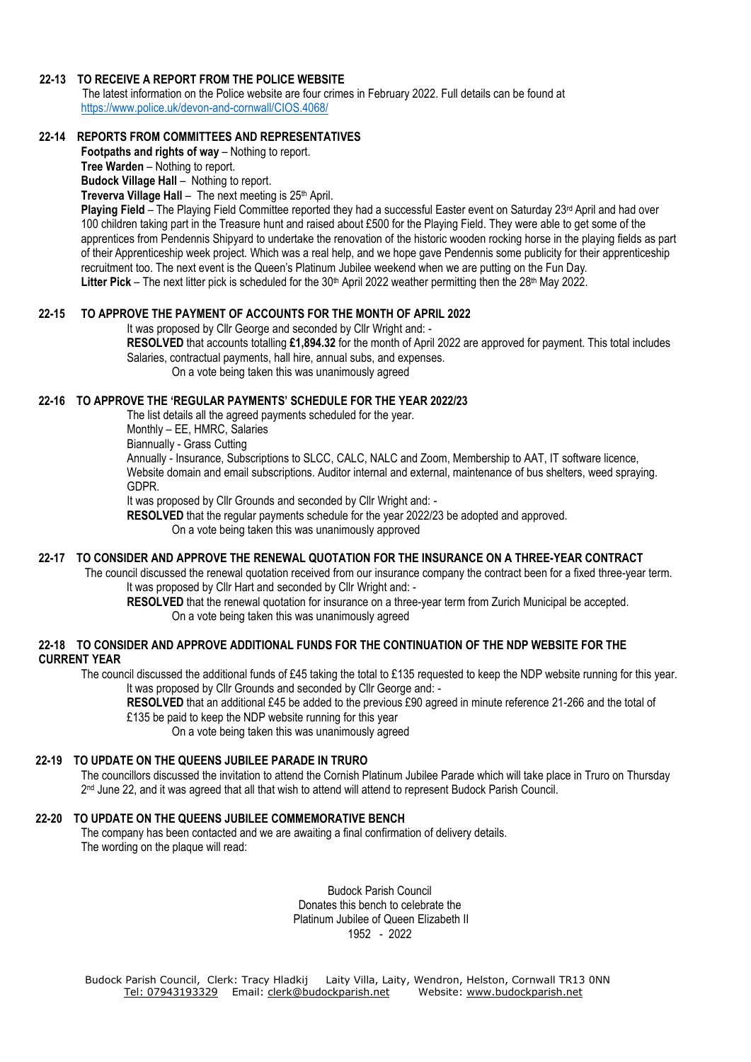## **22-13 TO RECEIVE A REPORT FROM THE POLICE WEBSITE**

The latest information on the Police website are four crimes in February 2022. Full details can be found at <https://www.police.uk/devon-and-cornwall/CIOS.4068/>

# **22-14 REPORTS FROM COMMITTEES AND REPRESENTATIVES**

**Footpaths and rights of way** – Nothing to report.

**Tree Warden** – Nothing to report. **Budock Village Hall** – Nothing to report.

**Treverva Village Hall** – The next meeting is 25<sup>th</sup> April.

Plaving Field - The Playing Field Committee reported they had a successful Easter event on Saturday 23<sup>rd</sup> April and had over 100 children taking part in the Treasure hunt and raised about £500 for the Playing Field. They were able to get some of the apprentices from Pendennis Shipyard to undertake the renovation of the historic wooden rocking horse in the playing fields as part of their Apprenticeship week project. Which was a real help, and we hope gave Pendennis some publicity for their apprenticeship recruitment too. The next event is the Queen's Platinum Jubilee weekend when we are putting on the Fun Day. Litter Pick – The next litter pick is scheduled for the 30<sup>th</sup> April 2022 weather permitting then the 28<sup>th</sup> May 2022.

# **22-15 TO APPROVE THE PAYMENT OF ACCOUNTS FOR THE MONTH OF APRIL 2022**

It was proposed by Cllr George and seconded by Cllr Wright and: -

**RESOLVED** that accounts totalling **£1,894.32** for the month of April 2022 are approved for payment. This total includes Salaries, contractual payments, hall hire, annual subs, and expenses.

On a vote being taken this was unanimously agreed

# **22-16 TO APPROVE THE 'REGULAR PAYMENTS' SCHEDULE FOR THE YEAR 2022/23**

The list details all the agreed payments scheduled for the year. Monthly – EE, HMRC, Salaries

Biannually - Grass Cutting

Annually - Insurance, Subscriptions to SLCC, CALC, NALC and Zoom, Membership to AAT, IT software licence, Website domain and email subscriptions. Auditor internal and external, maintenance of bus shelters, weed spraying. GDPR.

It was proposed by Cllr Grounds and seconded by Cllr Wright and: -

**RESOLVED** that the regular payments schedule for the year 2022/23 be adopted and approved. On a vote being taken this was unanimously approved

## **22-17 TO CONSIDER AND APPROVE THE RENEWAL QUOTATION FOR THE INSURANCE ON A THREE-YEAR CONTRACT**

The council discussed the renewal quotation received from our insurance company the contract been for a fixed three-year term. It was proposed by Cllr Hart and seconded by Cllr Wright and: -

**RESOLVED** that the renewal quotation for insurance on a three-year term from Zurich Municipal be accepted. On a vote being taken this was unanimously agreed

## **22-18 TO CONSIDER AND APPROVE ADDITIONAL FUNDS FOR THE CONTINUATION OF THE NDP WEBSITE FOR THE CURRENT YEAR**

The council discussed the additional funds of £45 taking the total to £135 requested to keep the NDP website running for this year. It was proposed by Cllr Grounds and seconded by Cllr George and: -

**RESOLVED** that an additional £45 be added to the previous £90 agreed in minute reference 21-266 and the total of £135 be paid to keep the NDP website running for this year

On a vote being taken this was unanimously agreed

### **22-19 TO UPDATE ON THE QUEENS JUBILEE PARADE IN TRURO**

The councillors discussed the invitation to attend the Cornish Platinum Jubilee Parade which will take place in Truro on Thursday 2<sup>nd</sup> June 22, and it was agreed that all that wish to attend will attend to represent Budock Parish Council.

### **22-20 TO UPDATE ON THE QUEENS JUBILEE COMMEMORATIVE BENCH**

The company has been contacted and we are awaiting a final confirmation of delivery details. The wording on the plaque will read:

> Budock Parish Council Donates this bench to celebrate the Platinum Jubilee of Queen Elizabeth II 1952 - 2022